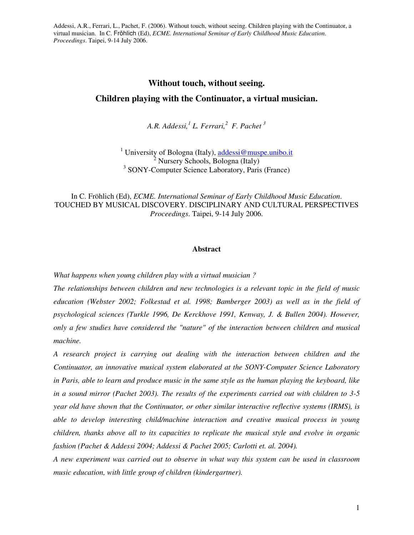# **Without touch, without seeing.**

## **Children playing with the Continuator, a virtual musician.**

*A.R. Addessi,<sup>1</sup> L. Ferrari,<sup>2</sup> F. Pachet <sup>3</sup>*

<sup>1</sup> University of Bologna (Italy), addessi@muspe.unibo.it <sup>2</sup> Nursery Schools, Bologna (Italy) 3 SONY-Computer Science Laboratory, Paris (France)

In C. Fröhlich (Ed), *ECME. International Seminar of Early Childhood Music Education*. TOUCHED BY MUSICAL DISCOVERY. DISCIPLINARY AND CULTURAL PERSPECTIVES *Proceedings*. Taipei, 9-14 July 2006.

### **Abstract**

*What happens when young children play with a virtual musician ?* 

*The relationships between children and new technologies is a relevant topic in the field of music education (Webster 2002; Folkestad et al. 1998; Bamberger 2003) as well as in the field of psychological sciences (Turkle 1996, De Kerckhove 1991, Kenway, J. & Bullen 2004). However, only a few studies have considered the "nature" of the interaction between children and musical machine.* 

*A research project is carrying out dealing with the interaction between children and the Continuator, an innovative musical system elaborated at the SONY-Computer Science Laboratory in Paris, able to learn and produce music in the same style as the human playing the keyboard, like in a sound mirror (Pachet 2003). The results of the experiments carried out with children to 3-5 year old have shown that the Continuator, or other similar interactive reflective systems (IRMS), is able to develop interesting child/machine interaction and creative musical process in young children, thanks above all to its capacities to replicate the musical style and evolve in organic fashion (Pachet & Addessi 2004; Addessi & Pachet 2005; Carlotti et. al. 2004).* 

*A new experiment was carried out to observe in what way this system can be used in classroom music education, with little group of children (kindergartner).*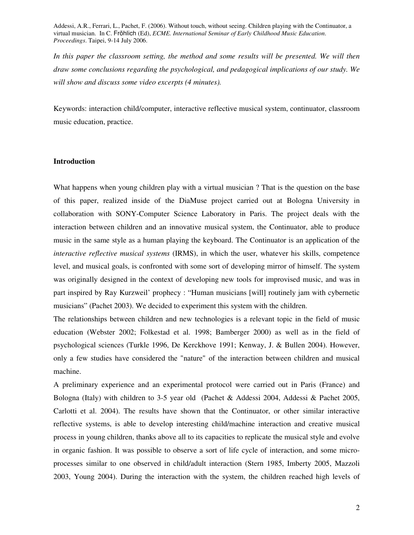*In this paper the classroom setting, the method and some results will be presented. We will then draw some conclusions regarding the psychological, and pedagogical implications of our study. We will show and discuss some video excerpts (4 minutes).* 

Keywords: interaction child/computer, interactive reflective musical system, continuator, classroom music education, practice.

## **Introduction**

What happens when young children play with a virtual musician ? That is the question on the base of this paper, realized inside of the DiaMuse project carried out at Bologna University in collaboration with SONY-Computer Science Laboratory in Paris. The project deals with the interaction between children and an innovative musical system, the Continuator, able to produce music in the same style as a human playing the keyboard. The Continuator is an application of the *interactive reflective musical systems* (IRMS), in which the user, whatever his skills, competence level, and musical goals, is confronted with some sort of developing mirror of himself. The system was originally designed in the context of developing new tools for improvised music, and was in part inspired by Ray Kurzweil' prophecy : "Human musicians [will] routinely jam with cybernetic musicians" (Pachet 2003). We decided to experiment this system with the children.

The relationships between children and new technologies is a relevant topic in the field of music education (Webster 2002; Folkestad et al. 1998; Bamberger 2000) as well as in the field of psychological sciences (Turkle 1996, De Kerckhove 1991; Kenway, J. & Bullen 2004). However, only a few studies have considered the "nature" of the interaction between children and musical machine.

A preliminary experience and an experimental protocol were carried out in Paris (France) and Bologna (Italy) with children to 3-5 year old (Pachet & Addessi 2004, Addessi & Pachet 2005, Carlotti et al. 2004). The results have shown that the Continuator, or other similar interactive reflective systems, is able to develop interesting child/machine interaction and creative musical process in young children, thanks above all to its capacities to replicate the musical style and evolve in organic fashion. It was possible to observe a sort of life cycle of interaction, and some microprocesses similar to one observed in child/adult interaction (Stern 1985, Imberty 2005, Mazzoli 2003, Young 2004). During the interaction with the system, the children reached high levels of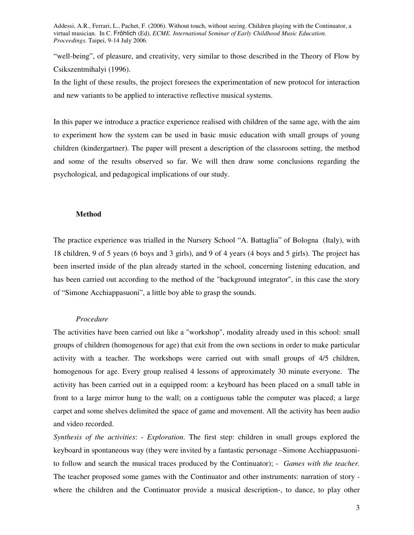"well-being", of pleasure, and creativity, very similar to those described in the Theory of Flow by Csikszentmihalyi (1996).

In the light of these results, the project foresees the experimentation of new protocol for interaction and new variants to be applied to interactive reflective musical systems.

In this paper we introduce a practice experience realised with children of the same age, with the aim to experiment how the system can be used in basic music education with small groups of young children (kindergartner). The paper will present a description of the classroom setting, the method and some of the results observed so far. We will then draw some conclusions regarding the psychological, and pedagogical implications of our study.

#### **Method**

The practice experience was trialled in the Nursery School "A. Battaglia" of Bologna (Italy), with 18 children, 9 of 5 years (6 boys and 3 girls), and 9 of 4 years (4 boys and 5 girls). The project has been inserted inside of the plan already started in the school, concerning listening education, and has been carried out according to the method of the "background integrator", in this case the story of "Simone Acchiappasuoni", a little boy able to grasp the sounds.

#### *Procedure*

The activities have been carried out like a "workshop", modality already used in this school: small groups of children (homogenous for age) that exit from the own sections in order to make particular activity with a teacher. The workshops were carried out with small groups of 4/5 children, homogenous for age. Every group realised 4 lessons of approximately 30 minute everyone. The activity has been carried out in a equipped room: a keyboard has been placed on a small table in front to a large mirror hung to the wall; on a contiguous table the computer was placed; a large carpet and some shelves delimited the space of game and movement. All the activity has been audio and video recorded.

*Synthesis of the activities*: - *Exploration*. The first step: children in small groups explored the keyboard in spontaneous way (they were invited by a fantastic personage –Simone Acchiappasuonito follow and search the musical traces produced by the Continuator); - *Games with the teacher.* The teacher proposed some games with the Continuator and other instruments: narration of story where the children and the Continuator provide a musical description-, to dance, to play other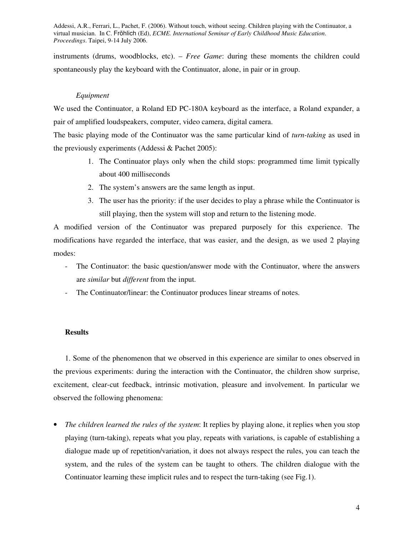instruments (drums, woodblocks, etc). – *Free Game*: during these moments the children could spontaneously play the keyboard with the Continuator, alone, in pair or in group.

## *Equipment*

We used the Continuator, a Roland ED PC-180A keyboard as the interface, a Roland expander, a pair of amplified loudspeakers, computer, video camera, digital camera.

The basic playing mode of the Continuator was the same particular kind of *turn-taking* as used in the previously experiments (Addessi & Pachet 2005):

- 1. The Continuator plays only when the child stops: programmed time limit typically about 400 milliseconds
- 2. The system's answers are the same length as input.
- 3. The user has the priority: if the user decides to play a phrase while the Continuator is still playing, then the system will stop and return to the listening mode.

A modified version of the Continuator was prepared purposely for this experience. The modifications have regarded the interface, that was easier, and the design, as we used 2 playing modes:

- The Continuator: the basic question/answer mode with the Continuator, where the answers are *similar* but *different* from the input.
- The Continuator/linear: the Continuator produces linear streams of notes.

## **Results**

1. Some of the phenomenon that we observed in this experience are similar to ones observed in the previous experiments: during the interaction with the Continuator, the children show surprise, excitement, clear-cut feedback, intrinsic motivation, pleasure and involvement. In particular we observed the following phenomena:

• *The children learned the rules of the system*: It replies by playing alone, it replies when you stop playing (turn-taking), repeats what you play, repeats with variations, is capable of establishing a dialogue made up of repetition/variation, it does not always respect the rules, you can teach the system, and the rules of the system can be taught to others. The children dialogue with the Continuator learning these implicit rules and to respect the turn-taking (see Fig.1).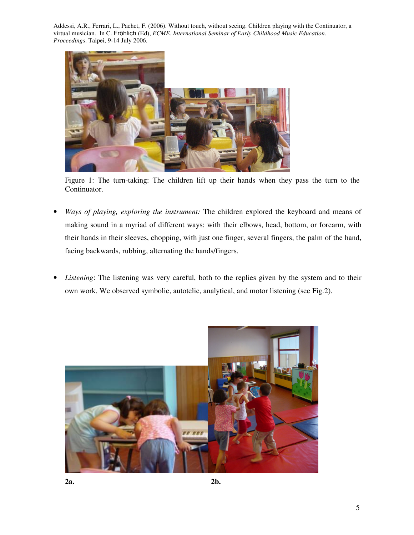

Figure 1: The turn-taking: The children lift up their hands when they pass the turn to the Continuator.

- *Ways of playing, exploring the instrument:* The children explored the keyboard and means of making sound in a myriad of different ways: with their elbows, head, bottom, or forearm, with their hands in their sleeves, chopping, with just one finger, several fingers, the palm of the hand, facing backwards, rubbing, alternating the hands/fingers.
- *Listening*: The listening was very careful, both to the replies given by the system and to their own work. We observed symbolic, autotelic, analytical, and motor listening (see Fig.2).

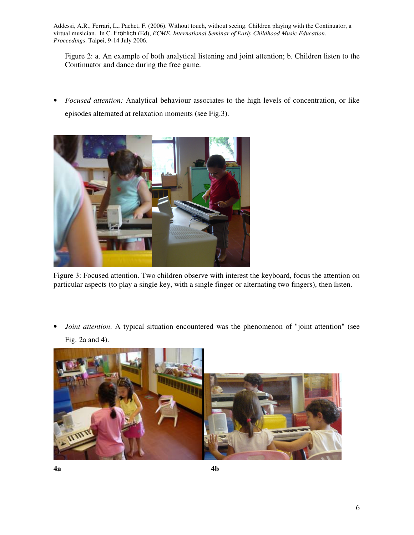Figure 2: a. An example of both analytical listening and joint attention; b. Children listen to the Continuator and dance during the free game.

• *Focused attention:* Analytical behaviour associates to the high levels of concentration, or like episodes alternated at relaxation moments (see Fig.3).



Figure 3: Focused attention. Two children observe with interest the keyboard, focus the attention on particular aspects (to play a single key, with a single finger or alternating two fingers), then listen.

• *Joint attention*. A typical situation encountered was the phenomenon of "joint attention" (see Fig. 2a and 4).

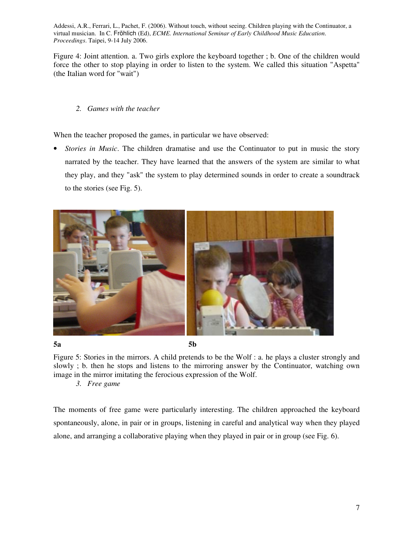Figure 4: Joint attention. a. Two girls explore the keyboard together ; b. One of the children would force the other to stop playing in order to listen to the system. We called this situation "Aspetta" (the Italian word for "wait")

## *2. Games with the teacher*

When the teacher proposed the games, in particular we have observed:

• *Stories in Music*. The children dramatise and use the Continuator to put in music the story narrated by the teacher. They have learned that the answers of the system are similar to what they play, and they "ask" the system to play determined sounds in order to create a soundtrack to the stories (see Fig. 5).



**5a 5b** 

Figure 5: Stories in the mirrors. A child pretends to be the Wolf : a. he plays a cluster strongly and slowly ; b. then he stops and listens to the mirroring answer by the Continuator, watching own image in the mirror imitating the ferocious expression of the Wolf.

*3. Free game* 

The moments of free game were particularly interesting. The children approached the keyboard spontaneously, alone, in pair or in groups, listening in careful and analytical way when they played alone, and arranging a collaborative playing when they played in pair or in group (see Fig. 6).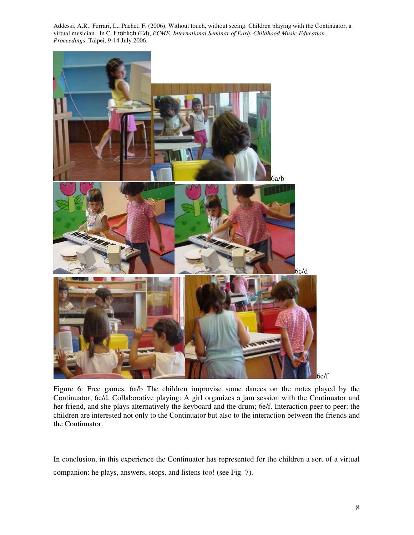

Figure 6: Free games. 6a/b The children improvise some dances on the notes played by the Continuator; 6c/d. Collaborative playing: A girl organizes a jam session with the Continuator and her friend, and she plays alternatively the keyboard and the drum; 6e/f. Interaction peer to peer: the children are interested not only to the Continuator but also to the interaction between the friends and the Continuator.

In conclusion, in this experience the Continuator has represented for the children a sort of a virtual companion: he plays, answers, stops, and listens too! (see Fig. 7).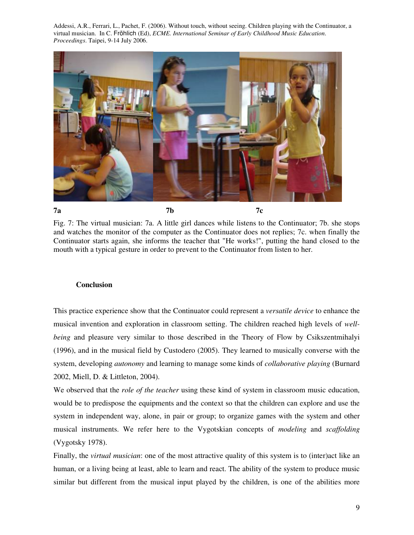

Fig. 7: The virtual musician: 7a. A little girl dances while listens to the Continuator; 7b. she stops and watches the monitor of the computer as the Continuator does not replies; 7c. when finally the Continuator starts again, she informs the teacher that "He works!", putting the hand closed to the mouth with a typical gesture in order to prevent to the Continuator from listen to her.

#### **Conclusion**

This practice experience show that the Continuator could represent a *versatile device* to enhance the musical invention and exploration in classroom setting. The children reached high levels of *wellbeing* and pleasure very similar to those described in the Theory of Flow by Csikszentmihalyi (1996), and in the musical field by Custodero (2005). They learned to musically converse with the system, developing *autonomy* and learning to manage some kinds of *collaborative playing* (Burnard 2002, Miell, D. & Littleton, 2004).

We observed that the *role of the teacher* using these kind of system in classroom music education, would be to predispose the equipments and the context so that the children can explore and use the system in independent way, alone, in pair or group; to organize games with the system and other musical instruments. We refer here to the Vygotskian concepts of *modeling* and *scaffolding*  (Vygotsky 1978).

Finally, the *virtual musician*: one of the most attractive quality of this system is to (inter)act like an human, or a living being at least, able to learn and react. The ability of the system to produce music similar but different from the musical input played by the children, is one of the abilities more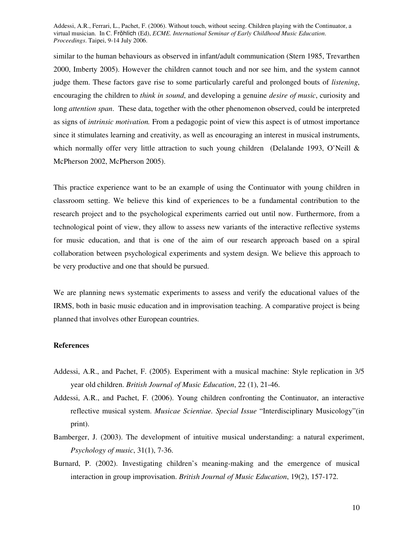similar to the human behaviours as observed in infant/adult communication (Stern 1985, Trevarthen 2000, Imberty 2005). However the children cannot touch and nor see him, and the system cannot judge them. These factors gave rise to some particularly careful and prolonged bouts of *listening*, encouraging the children to *think in sound*, and developing a genuine *desire of music*, curiosity and long *attention span*. These data, together with the other phenomenon observed, could be interpreted as signs of *intrinsic motivation.* From a pedagogic point of view this aspect is of utmost importance since it stimulates learning and creativity, as well as encouraging an interest in musical instruments, which normally offer very little attraction to such young children (Delalande 1993, O'Neill  $\&$ McPherson 2002, McPherson 2005).

This practice experience want to be an example of using the Continuator with young children in classroom setting. We believe this kind of experiences to be a fundamental contribution to the research project and to the psychological experiments carried out until now. Furthermore, from a technological point of view, they allow to assess new variants of the interactive reflective systems for music education, and that is one of the aim of our research approach based on a spiral collaboration between psychological experiments and system design. We believe this approach to be very productive and one that should be pursued.

We are planning news systematic experiments to assess and verify the educational values of the IRMS, both in basic music education and in improvisation teaching. A comparative project is being planned that involves other European countries.

## **References**

- Addessi, A.R., and Pachet, F. (2005). Experiment with a musical machine: Style replication in 3/5 year old children. *British Journal of Music Education*, 22 (1), 21-46.
- Addessi, A.R., and Pachet, F. (2006). Young children confronting the Continuator, an interactive reflective musical system. *Musicae Scientiae. Special Issue* "Interdisciplinary Musicology"(in print).
- Bamberger, J. (2003). The development of intuitive musical understanding: a natural experiment, *Psychology of music*, 31(1), 7-36.
- Burnard, P. (2002). Investigating children's meaning-making and the emergence of musical interaction in group improvisation. *British Journal of Music Education*, 19(2), 157-172.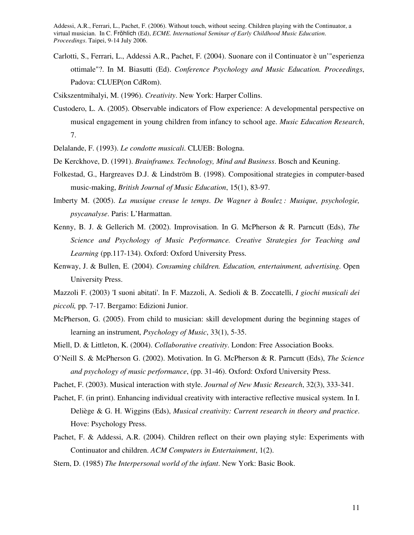- Carlotti, S., Ferrari, L., Addessi A.R., Pachet, F. (2004). Suonare con il Continuator è un'"esperienza ottimale"?. In M. Biasutti (Ed). *Conference Psychology and Music Education. Proceedings*, Padova: CLUEP(on CdRom).
- Csikszentmihalyi, M. (1996). *Creativity*. New York: Harper Collins.
- Custodero, L. A. (2005). Observable indicators of Flow experience: A developmental perspective on musical engagement in young children from infancy to school age. *Music Education Research*, 7.
- Delalande, F. (1993). *Le condotte musicali*. CLUEB: Bologna.
- De Kerckhove, D. (1991). *Brainframes. Technology, Mind and Business*. Bosch and Keuning.
- Folkestad, G., Hargreaves D.J. & Lindström B. (1998). Compositional strategies in computer-based music-making, *British Journal of Music Education*, 15(1), 83-97.
- Imberty M. (2005). *La musique creuse le temps*. *De Wagner à Boulez : Musique, psychologie, psycanalyse*. Paris: L'Harmattan.
- Kenny, B. J. & Gellerich M. (2002). Improvisation. In G. McPherson & R. Parncutt (Eds), *The Science and Psychology of Music Performance. Creative Strategies for Teaching and Learning* (pp.117-134). Oxford: Oxford University Press.
- Kenway, J. & Bullen, E. (2004). *Consuming children. Education, entertainment, advertising*. Open University Press.
- Mazzoli F. (2003) 'I suoni abitati'. In F. Mazzoli, A. Sedioli & B. Zoccatelli, *I giochi musicali dei piccoli,* pp. 7-17. Bergamo: Edizioni Junior.
- McPherson, G. (2005). From child to musician: skill development during the beginning stages of learning an instrument, *Psychology of Music*, 33(1), 5-35.
- Miell, D. & Littleton, K. (2004). *Collaborative creativity*. London: Free Association Books.
- O'Neill S. & McPherson G. (2002). Motivation. In G. McPherson & R. Parncutt (Eds), *The Science and psychology of music performance*, (pp. 31-46). Oxford: Oxford University Press.
- Pachet, F. (2003). Musical interaction with style. *Journal of New Music Research*, 32(3), 333-341.
- Pachet, F. (in print). Enhancing individual creativity with interactive reflective musical system. In I. Deliège & G. H. Wiggins (Eds), *Musical creativity: Current research in theory and practice*. Hove: Psychology Press.
- Pachet, F. & Addessi, A.R. (2004). Children reflect on their own playing style: Experiments with Continuator and children. *ACM Computers in Entertainment*, 1(2).
- Stern, D. (1985) *The Interpersonal world of the infant*. New York: Basic Book.